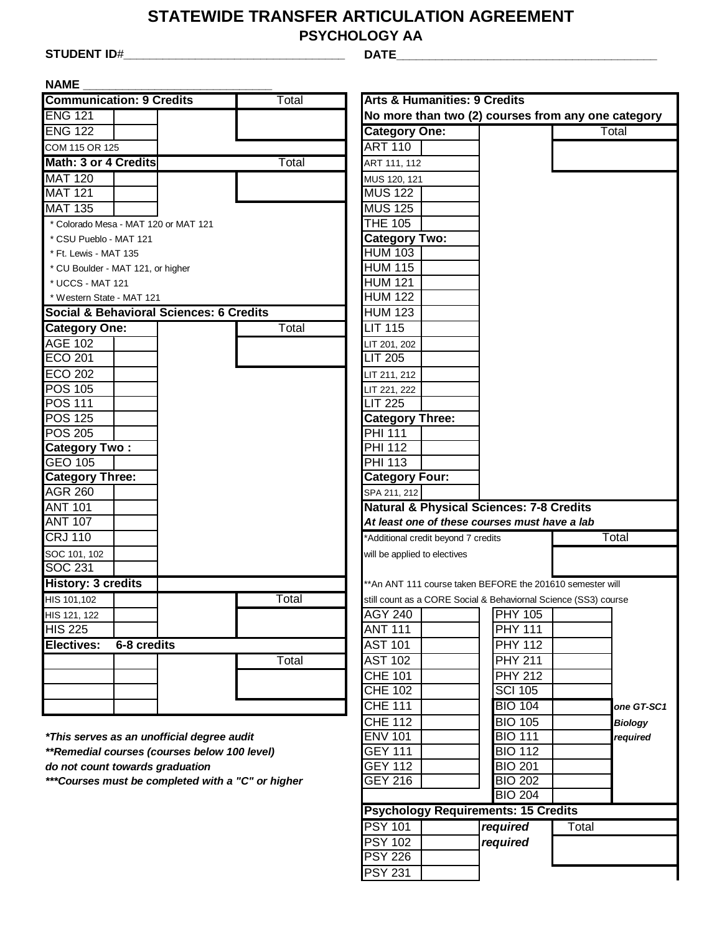## **STATEWIDE TRANSFER ARTICULATION AGREEMENT**

**PSYCHOLOGY AA**

**STUDENT ID**#**\_\_\_\_\_\_\_\_\_\_\_\_\_\_\_\_\_\_\_\_\_\_\_\_\_\_\_\_\_\_\_\_\_\_ DATE\_\_\_\_\_\_\_\_\_\_\_\_\_\_\_\_\_\_\_\_\_\_\_\_\_\_\_\_\_\_\_\_\_\_\_\_\_\_\_\_**

**NAME \_\_\_\_\_\_\_\_\_\_\_\_\_\_\_\_\_\_\_\_\_\_\_\_\_\_\_\_\_**

| <b>NAME</b>                                                                           |             |                                         |       |                                         |                                                            |                                                                 |
|---------------------------------------------------------------------------------------|-------------|-----------------------------------------|-------|-----------------------------------------|------------------------------------------------------------|-----------------------------------------------------------------|
| <b>Communication: 9 Credits</b>                                                       |             |                                         | Total | <b>Arts &amp; Humanities: 9 Credits</b> |                                                            |                                                                 |
| <b>ENG 121</b>                                                                        |             |                                         |       |                                         |                                                            | No more than two (2) courses from any one category              |
| <b>ENG 122</b>                                                                        |             |                                         |       | <b>Category One:</b>                    |                                                            | Total                                                           |
| COM 115 OR 125                                                                        |             |                                         |       | <b>ART 110</b>                          |                                                            |                                                                 |
| Math: 3 or 4 Credits                                                                  |             |                                         | Total | ART 111, 112                            |                                                            |                                                                 |
| <b>MAT 120</b>                                                                        |             |                                         |       | MUS 120, 121                            |                                                            |                                                                 |
| <b>MAT 121</b>                                                                        |             |                                         |       | <b>MUS 122</b>                          |                                                            |                                                                 |
| <b>MAT 135</b>                                                                        |             |                                         |       | <b>MUS 125</b>                          |                                                            |                                                                 |
| * Colorado Mesa - MAT 120 or MAT 121                                                  |             |                                         |       | <b>THE 105</b>                          |                                                            |                                                                 |
| * CSU Pueblo - MAT 121                                                                |             |                                         |       | <b>Category Two:</b>                    |                                                            |                                                                 |
| * Ft. Lewis - MAT 135                                                                 |             |                                         |       | <b>HUM 103</b>                          |                                                            |                                                                 |
| * CU Boulder - MAT 121, or higher                                                     |             |                                         |       | <b>HUM 115</b>                          |                                                            |                                                                 |
| * UCCS - MAT 121                                                                      |             |                                         |       | <b>HUM 121</b>                          |                                                            |                                                                 |
| * Western State - MAT 121                                                             |             |                                         |       | <b>HUM 122</b>                          |                                                            |                                                                 |
|                                                                                       |             | Social & Behavioral Sciences: 6 Credits |       | <b>HUM 123</b>                          |                                                            |                                                                 |
| <b>Category One:</b>                                                                  |             |                                         | Total | <b>LIT 115</b>                          |                                                            |                                                                 |
| <b>AGE 102</b>                                                                        |             |                                         |       | LIT 201, 202                            |                                                            |                                                                 |
| <b>ECO 201</b>                                                                        |             |                                         |       | <b>LIT 205</b>                          |                                                            |                                                                 |
| <b>ECO 202</b>                                                                        |             |                                         |       | LIT 211, 212                            |                                                            |                                                                 |
| <b>POS 105</b>                                                                        |             |                                         |       | LIT 221, 222                            |                                                            |                                                                 |
| POS 111                                                                               |             |                                         |       | <b>LIT 225</b>                          |                                                            |                                                                 |
| <b>POS 125</b>                                                                        |             |                                         |       | <b>Category Three:</b>                  |                                                            |                                                                 |
| <b>POS 205</b>                                                                        |             |                                         |       | <b>PHI 111</b>                          |                                                            |                                                                 |
| <b>Category Two:</b>                                                                  |             |                                         |       | <b>PHI 112</b>                          |                                                            |                                                                 |
| <b>GEO 105</b>                                                                        |             |                                         |       | <b>PHI 113</b>                          |                                                            |                                                                 |
| <b>Category Three:</b>                                                                |             |                                         |       | <b>Category Four:</b>                   |                                                            |                                                                 |
| <b>AGR 260</b>                                                                        |             |                                         |       | SPA 211, 212                            |                                                            |                                                                 |
| <b>ANT 101</b>                                                                        |             |                                         |       |                                         | <b>Natural &amp; Physical Sciences: 7-8 Credits</b>        |                                                                 |
| <b>ANT 107</b>                                                                        |             |                                         |       |                                         | At least one of these courses must have a lab              |                                                                 |
| <b>CRJ 110</b>                                                                        |             |                                         |       | *Additional credit beyond 7 credits     |                                                            | Total                                                           |
| SOC 101, 102                                                                          |             |                                         |       | will be applied to electives            |                                                            |                                                                 |
| SOC 231                                                                               |             |                                         |       |                                         |                                                            |                                                                 |
| <b>History: 3 credits</b>                                                             |             |                                         |       |                                         | ** An ANT 111 course taken BEFORE the 201610 semester will |                                                                 |
| HIS 101,102                                                                           |             |                                         | Total |                                         |                                                            | still count as a CORE Social & Behaviornal Science (SS3) course |
| HIS 121, 122                                                                          |             |                                         |       |                                         | AGY 240 PHY 105                                            |                                                                 |
| $\overline{HIS}$ 225                                                                  |             |                                         |       | <b>ANT 111</b>                          | <b>PHY 111</b>                                             |                                                                 |
| Electives:                                                                            | 6-8 credits |                                         |       | <b>AST 101</b>                          | <b>PHY 112</b>                                             |                                                                 |
|                                                                                       |             |                                         | Total | <b>AST 102</b>                          | <b>PHY 211</b>                                             |                                                                 |
|                                                                                       |             |                                         |       | <b>CHE 101</b>                          | <b>PHY 212</b>                                             |                                                                 |
|                                                                                       |             |                                         |       | <b>CHE 102</b>                          | <b>SCI 105</b>                                             |                                                                 |
|                                                                                       |             |                                         |       | <b>CHE 111</b>                          | <b>BIO 104</b>                                             | one GT-SC1                                                      |
|                                                                                       |             |                                         |       | <b>CHE 112</b>                          | <b>BIO 105</b>                                             | <b>Biology</b>                                                  |
| *This serves as an unofficial degree audit                                            |             |                                         |       | <b>ENV 101</b>                          | <b>BIO 111</b>                                             | required                                                        |
| **Remedial courses (courses below 100 level)                                          |             |                                         |       | <b>GEY 111</b>                          | <b>BIO 112</b>                                             |                                                                 |
| do not count towards graduation<br>*** Courses must be completed with a "C" or higher |             |                                         |       | <b>GEY 112</b>                          | <b>BIO 201</b>                                             |                                                                 |
|                                                                                       |             |                                         |       | <b>GEY 216</b>                          | <b>BIO 202</b>                                             |                                                                 |
|                                                                                       |             |                                         |       |                                         | <b>BIO 204</b>                                             |                                                                 |
|                                                                                       |             |                                         |       |                                         | <b>Psychology Requirements: 15 Credits</b>                 |                                                                 |
|                                                                                       |             |                                         |       | <b>PSY 101</b>                          | required                                                   | Total                                                           |
|                                                                                       |             |                                         |       | <b>PSY 102</b>                          | required                                                   |                                                                 |
|                                                                                       |             |                                         |       | <b>PSY 226</b>                          |                                                            |                                                                 |
|                                                                                       |             |                                         |       | <b>PSY 231</b>                          |                                                            |                                                                 |